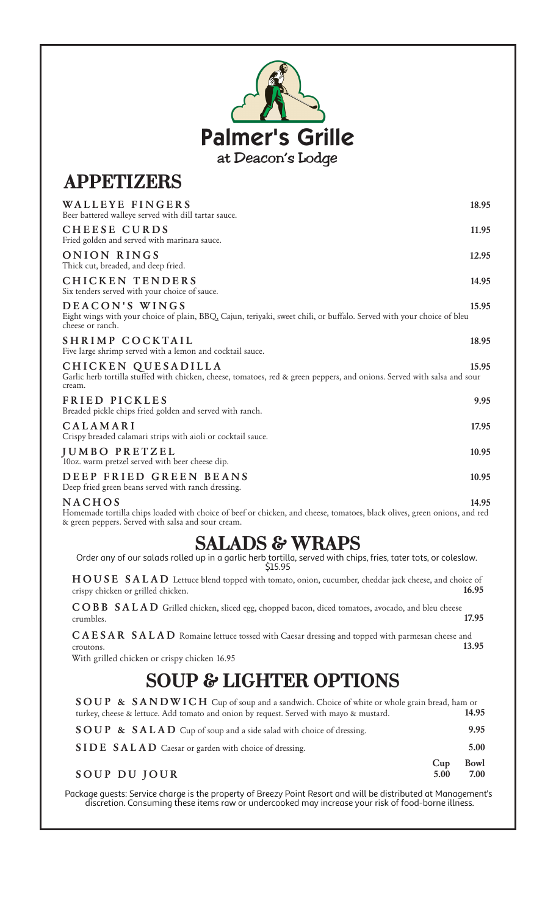| <b>Palmer's Grille</b> |
|------------------------|
| at Deacon's Lodge      |

## **APPETIZERS**

| WALLEYE FINGERS<br>Beer battered walleye served with dill tartar sauce.                                                                                     | 18.95 |
|-------------------------------------------------------------------------------------------------------------------------------------------------------------|-------|
| CHEESE CURDS<br>Fried golden and served with marinara sauce.                                                                                                | 11.95 |
| ONION RINGS<br>Thick cut, breaded, and deep fried.                                                                                                          | 12.95 |
| <b>CHICKEN TENDERS</b><br>Six tenders served with your choice of sauce.                                                                                     | 14.95 |
| DEACON'S WINGS<br>Eight wings with your choice of plain, BBQ, Cajun, teriyaki, sweet chili, or buffalo. Served with your choice of bleu<br>cheese or ranch. | 15.95 |
| SHRIMP COCKTAIL<br>Five large shrimp served with a lemon and cocktail sauce.                                                                                | 18.95 |
| CHICKEN QUESADILLA<br>Garlic herb tortilla stuffed with chicken, cheese, tomatoes, red & green peppers, and onions. Served with salsa and sour<br>cream.    | 15.95 |
| FRIED PICKLES<br>Breaded pickle chips fried golden and served with ranch.                                                                                   | 9.95  |
| CALAMARI<br>Crispy breaded calamari strips with aioli or cocktail sauce.                                                                                    | 17.95 |
| <b>JUMBO PRETZEL</b><br>10oz. warm pretzel served with beer cheese dip.                                                                                     | 10.95 |
| DEEP FRIED GREEN BEANS<br>Deep fried green beans served with ranch dressing.                                                                                | 10.95 |
| <b>NACHOS</b><br>المالية المتحدث المتحدث المتحدث المتحدث المتحدث                                                                                            | 14.95 |

Homemade tortilla chips loaded with choice of beef or chicken, and cheese, tomatoes, black olives, green onions, and red & green peppers. Served with salsa and sour cream.

## **SALADS & WRAPS**

Order any of our salads rolled up in a garlic herb tortilla, served with chips, fries, tater tots, or coleslaw. \$15.95

**H O U S E S A L A D** Lettuce blend topped with tomato, onion, cucumber, cheddar jack cheese, and choice of crispy chicken or grilled chicken. **16.95**

**C O B B S A L A D** Grilled chicken, sliced egg, chopped bacon, diced tomatoes, avocado, and bleu cheese crumbles. **17.95**

**C A E S A R S A L A D** Romaine lettuce tossed with Caesar dressing and topped with parmesan cheese and croutons. **13.95**

With grilled chicken or crispy chicken 16.95

# **SOUP & LIGHTER OPTIONS**

| SOUP & SANDWICH Cup of soup and a sandwich. Choice of white or whole grain bread, ham or |             |              |
|------------------------------------------------------------------------------------------|-------------|--------------|
| turkey, cheese & lettuce. Add tomato and onion by request. Served with mayo & mustard.   |             | 14.95        |
| <b>SOUP &amp; SALAD</b> Cup of soup and a side salad with choice of dressing.            |             | 9.95         |
| SIDE SALAD Caesar or garden with choice of dressing.                                     |             | 5.00         |
| SOUP DU JOUR                                                                             | Cup<br>5.00 | Bowl<br>7.00 |

Package guests: Service charge is the property of Breezy Point Resort and will be distributed at Management's discretion. Consuming these items raw or undercooked may increase your risk of food-borne illness.